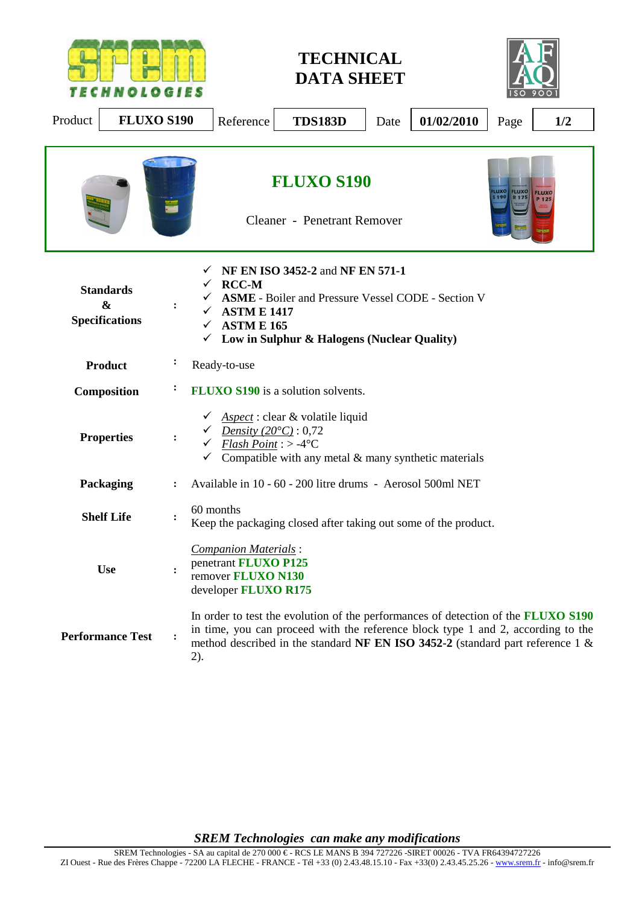**TECHNICAL DATA SHEET** 



| Product<br><b>FLUXO S190</b>                                                                                                                                                                                                                                                                        |                | <b>TDS183D</b><br>01/02/2010<br>Reference<br>Date<br>1/2<br>Page                                                                                                                                                                                                         |  |
|-----------------------------------------------------------------------------------------------------------------------------------------------------------------------------------------------------------------------------------------------------------------------------------------------------|----------------|--------------------------------------------------------------------------------------------------------------------------------------------------------------------------------------------------------------------------------------------------------------------------|--|
|                                                                                                                                                                                                                                                                                                     |                | <b>FLUXO S190</b><br>LUXO<br><b>FLUXO</b><br><b>FLUXC</b><br><b>Cleaner</b> - Penetrant Remover                                                                                                                                                                          |  |
| NF EN ISO 3452-2 and NF EN 571-1<br><b>RCC-M</b><br>✓<br><b>Standards</b><br><b>ASME</b> - Boiler and Pressure Vessel CODE - Section V<br>$\boldsymbol{\&}$<br><b>ASTM E 1417</b><br><b>Specifications</b><br><b>ASTM E 165</b><br>✓<br>Low in Sulphur & Halogens (Nuclear Quality)<br>$\checkmark$ |                |                                                                                                                                                                                                                                                                          |  |
| <b>Product</b>                                                                                                                                                                                                                                                                                      | ÷              | Ready-to-use                                                                                                                                                                                                                                                             |  |
| Composition                                                                                                                                                                                                                                                                                         |                | <b>FLUXO S190</b> is a solution solvents.                                                                                                                                                                                                                                |  |
| <b>Properties</b>                                                                                                                                                                                                                                                                                   | $\ddot{\cdot}$ | Aspect: clear & volatile liquid<br>Density $(20^{\circ}C):0,72$<br>Flash Point: > -4 $^{\circ}$ C<br>✓<br>Compatible with any metal $&$ many synthetic materials<br>✓                                                                                                    |  |
| Packaging                                                                                                                                                                                                                                                                                           |                | Available in 10 - 60 - 200 litre drums - Aerosol 500ml NET                                                                                                                                                                                                               |  |
| <b>Shelf Life</b>                                                                                                                                                                                                                                                                                   |                | 60 months<br>Keep the packaging closed after taking out some of the product.                                                                                                                                                                                             |  |
| <b>Use</b>                                                                                                                                                                                                                                                                                          |                | <b>Companion Materials:</b><br>penetrant FLUXO P125<br>remover FLUXO N130<br>developer FLUXO R175                                                                                                                                                                        |  |
| <b>Performance Test</b>                                                                                                                                                                                                                                                                             |                | In order to test the evolution of the performances of detection of the <b>FLUXO S190</b><br>in time, you can proceed with the reference block type 1 and 2, according to the<br>method described in the standard NF EN ISO 3452-2 (standard part reference 1 $\&$<br>2). |  |

*SREM Technologies can make any modifications*